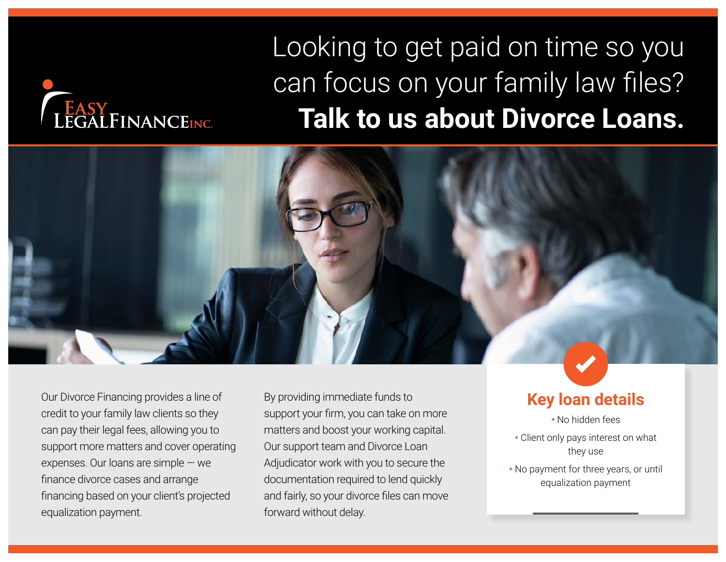# LEGALFINANCEINC.

# Looking to get paid on time so you can focus on your family law files? **Talk to us about Divorce Loans.**



Our Divorce Financing provides a line of credit to your family law clients so they can pay their legal fees, allowing you to support more matters and cover operating expenses. Our loans are simple — we finance divorce cases and arrange financing based on your client's projected equalization payment.

By providing immediate funds to support your firm, you can take on more matters and boost your working capital. Our support team and Divorce Loan Adjudicator work with you to secure the documentation required to lend quickly and fairly, so your divorce files can move forward without delay.

### **Key loan details**

• No hidden fees

- Client only pays interest on what they use
- No payment for three years, or until equalization payment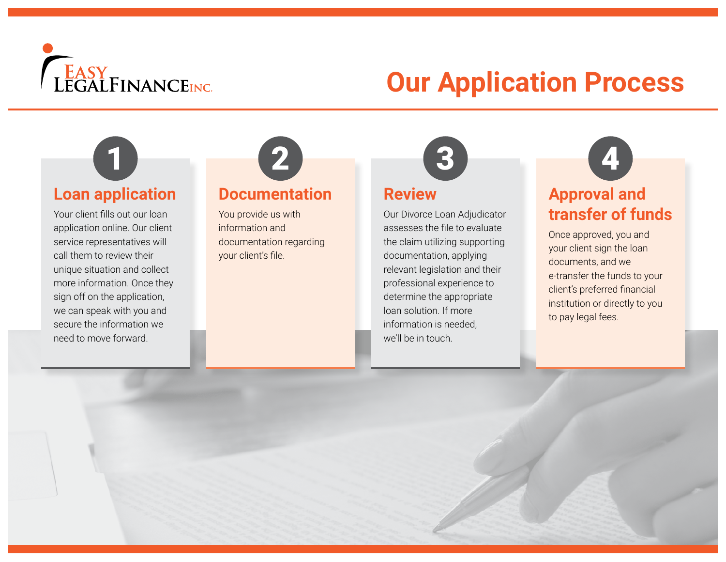

# **Our Application Process**

### **Loan application**

Your client fills out our loan application online. Our client service representatives will call them to review their unique situation and collect more information. Once they sign off on the application, we can speak with you and secure the information we need to move forward.



### **Documentation**

You provide us with information and documentation regarding your client's file.



### **Review**

Our Divorce Loan Adjudicator assesses the file to evaluate the claim utilizing supporting documentation, applying relevant legislation and their professional experience to determine the appropriate loan solution. If more information is needed, we'll be in touch.



### **Approval and transfer of funds**

Once approved, you and your client sign the loan documents, and we e-transfer the funds to your client's preferred financial institution or directly to you to pay legal fees.